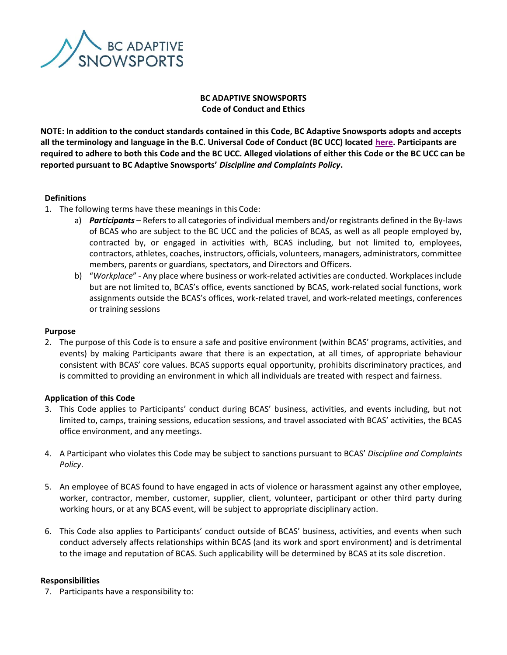

# **BC ADAPTIVE SNOWSPORTS Code of Conduct and Ethics**

**NOTE: In addition to the conduct standards contained in this Code, BC Adaptive Snowsports adopts and accepts all the terminology and language in the B.C. Universal Code of Conduct (BC UCC) located [here.](http://www.viasport.ca/bc-universal-code-of-conduct) Participants are required to adhere to both this Code and the BC UCC. Alleged violations of either this Code or the BC UCC can be reported pursuant to BC Adaptive Snowsports'** *Discipline and Complaints Policy***.**

## **Definitions**

- 1. The following terms have these meanings in this Code:
	- a) *Participants* Refers to all categories of individual members and/or registrants defined in the By-laws of BCAS who are subject to the BC UCC and the policies of BCAS, as well as all people employed by, contracted by, or engaged in activities with, BCAS including, but not limited to, employees, contractors, athletes, coaches, instructors, officials, volunteers, managers, administrators, committee members, parents or guardians, spectators, and Directors and Officers.
	- b) "*Workplace*" Any place where business or work-related activities are conducted. Workplaces include but are not limited to, BCAS's office, events sanctioned by BCAS, work-related social functions, work assignments outside the BCAS's offices, work-related travel, and work-related meetings, conferences or training sessions

### **Purpose**

2. The purpose of this Code is to ensure a safe and positive environment (within BCAS' programs, activities, and events) by making Participants aware that there is an expectation, at all times, of appropriate behaviour consistent with BCAS' core values. BCAS supports equal opportunity, prohibits discriminatory practices, and is committed to providing an environment in which all individuals are treated with respect and fairness.

## **Application of this Code**

- 3. This Code applies to Participants' conduct during BCAS' business, activities, and events including, but not limited to, camps, training sessions, education sessions, and travel associated with BCAS' activities, the BCAS office environment, and any meetings.
- 4. A Participant who violates this Code may be subject to sanctions pursuant to BCAS' *Discipline and Complaints Policy*.
- 5. An employee of BCAS found to have engaged in acts of violence or harassment against any other employee, worker, contractor, member, customer, supplier, client, volunteer, participant or other third party during working hours, or at any BCAS event, will be subject to appropriate disciplinary action.
- 6. This Code also applies to Participants' conduct outside of BCAS' business, activities, and events when such conduct adversely affects relationships within BCAS (and its work and sport environment) and is detrimental to the image and reputation of BCAS. Such applicability will be determined by BCAS at its sole discretion.

### **Responsibilities**

7. Participants have a responsibility to: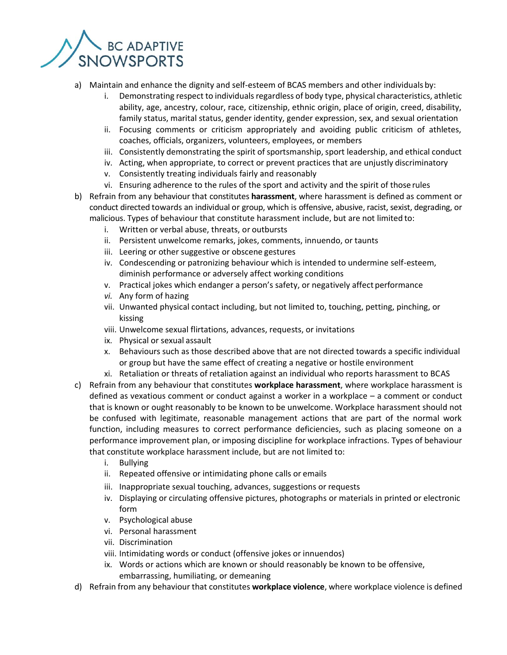

- a) Maintain and enhance the dignity and self-esteem of BCAS members and other individuals by:
	- i. Demonstrating respect to individuals regardless of body type, physical characteristics, athletic ability, age, ancestry, colour, race, citizenship, ethnic origin, place of origin, creed, disability, family status, marital status, gender identity, gender expression, sex, and sexual orientation
	- ii. Focusing comments or criticism appropriately and avoiding public criticism of athletes, coaches, officials, organizers, volunteers, employees, or members
	- iii. Consistently demonstrating the spirit of sportsmanship, sport leadership, and ethical conduct
	- iv. Acting, when appropriate, to correct or prevent practices that are unjustly discriminatory
	- v. Consistently treating individuals fairly and reasonably
	- vi. Ensuring adherence to the rules of the sport and activity and the spirit of those rules
- b) Refrain from any behaviour that constitutes **harassment**, where harassment is defined as comment or conduct directed towards an individual or group, which is offensive, abusive, racist, sexist, degrading, or malicious. Types of behaviour that constitute harassment include, but are not limited to:
	- i. Written or verbal abuse, threats, or outbursts
	- ii. Persistent unwelcome remarks, jokes, comments, innuendo, or taunts
	- iii. Leering or other suggestive or obscene gestures
	- iv. Condescending or patronizing behaviour which is intended to undermine self-esteem, diminish performance or adversely affect working conditions
	- v. Practical jokes which endanger a person's safety, or negatively affect performance
	- *vi.* Any form of hazing
	- vii. Unwanted physical contact including, but not limited to, touching, petting, pinching, or kissing
	- viii. Unwelcome sexual flirtations, advances, requests, or invitations
	- ix. Physical or sexual assault
	- x. Behaviours such as those described above that are not directed towards a specific individual or group but have the same effect of creating a negative or hostile environment
	- xi. Retaliation or threats of retaliation against an individual who reports harassment to BCAS
- c) Refrain from any behaviour that constitutes **workplace harassment**, where workplace harassment is defined as vexatious comment or conduct against a worker in a workplace – a comment or conduct that is known or ought reasonably to be known to be unwelcome. Workplace harassment should not be confused with legitimate, reasonable management actions that are part of the normal work function, including measures to correct performance deficiencies, such as placing someone on a performance improvement plan, or imposing discipline for workplace infractions. Types of behaviour that constitute workplace harassment include, but are not limited to:
	- i. Bullying
	- ii. Repeated offensive or intimidating phone calls or emails
	- iii. Inappropriate sexual touching, advances, suggestions or requests
	- iv. Displaying or circulating offensive pictures, photographs or materials in printed or electronic form
	- v. Psychological abuse
	- vi. Personal harassment
	- vii. Discrimination
	- viii. Intimidating words or conduct (offensive jokes or innuendos)
	- ix. Words or actions which are known or should reasonably be known to be offensive, embarrassing, humiliating, or demeaning
- d) Refrain from any behaviour that constitutes **workplace violence**, where workplace violence is defined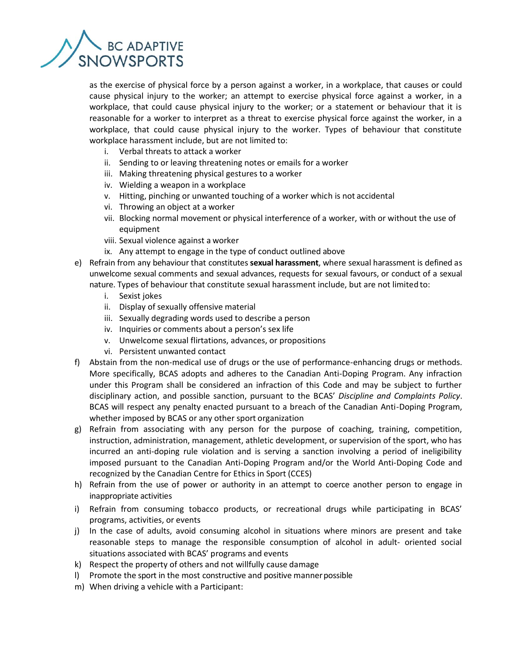

as the exercise of physical force by a person against a worker, in a workplace, that causes or could cause physical injury to the worker; an attempt to exercise physical force against a worker, in a workplace, that could cause physical injury to the worker; or a statement or behaviour that it is reasonable for a worker to interpret as a threat to exercise physical force against the worker, in a workplace, that could cause physical injury to the worker. Types of behaviour that constitute workplace harassment include, but are not limited to:

- i. Verbal threats to attack a worker
- ii. Sending to or leaving threatening notes or emails for a worker
- iii. Making threatening physical gestures to a worker
- iv. Wielding a weapon in a workplace
- v. Hitting, pinching or unwanted touching of a worker which is not accidental
- vi. Throwing an object at a worker
- vii. Blocking normal movement or physical interference of a worker, with or without the use of equipment
- viii. Sexual violence against a worker
- ix. Any attempt to engage in the type of conduct outlined above
- e) Refrain from any behaviour that constitutes **sexual harassment**, where sexual harassment is defined as unwelcome sexual comments and sexual advances, requests for sexual favours, or conduct of a sexual nature. Types of behaviour that constitute sexual harassment include, but are not limited to:
	- i. Sexist jokes
	- ii. Display of sexually offensive material
	- iii. Sexually degrading words used to describe a person
	- iv. Inquiries or comments about a person's sex life
	- v. Unwelcome sexual flirtations, advances, or propositions
	- vi. Persistent unwanted contact
- f) Abstain from the non-medical use of drugs or the use of performance-enhancing drugs or methods. More specifically, BCAS adopts and adheres to the Canadian Anti-Doping Program. Any infraction under this Program shall be considered an infraction of this Code and may be subject to further disciplinary action, and possible sanction, pursuant to the BCAS' *Discipline and Complaints Policy*. BCAS will respect any penalty enacted pursuant to a breach of the Canadian Anti-Doping Program, whether imposed by BCAS or any other sport organization
- g) Refrain from associating with any person for the purpose of coaching, training, competition, instruction, administration, management, athletic development, or supervision of the sport, who has incurred an anti-doping rule violation and is serving a sanction involving a period of ineligibility imposed pursuant to the Canadian Anti-Doping Program and/or the World Anti-Doping Code and recognized by the Canadian Centre for Ethics in Sport (CCES)
- h) Refrain from the use of power or authority in an attempt to coerce another person to engage in inappropriate activities
- i) Refrain from consuming tobacco products, or recreational drugs while participating in BCAS' programs, activities, or events
- j) In the case of adults, avoid consuming alcohol in situations where minors are present and take reasonable steps to manage the responsible consumption of alcohol in adult- oriented social situations associated with BCAS' programs and events
- k) Respect the property of others and not willfully cause damage
- l) Promote the sport in the most constructive and positive mannerpossible
- m) When driving a vehicle with a Participant: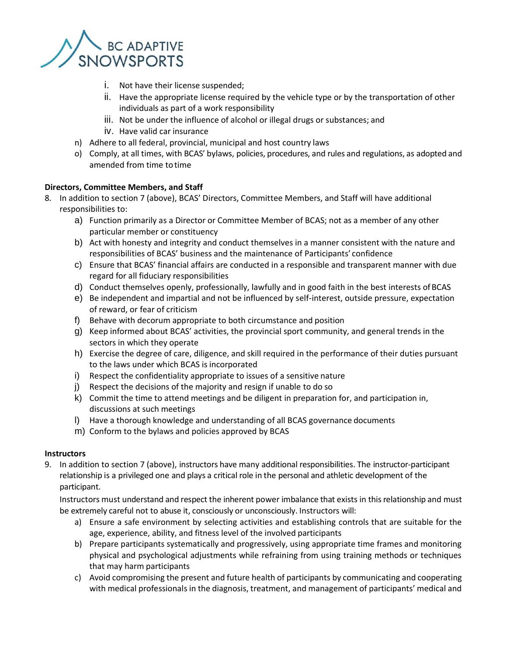

- i. Not have their license suspended;
- ii. Have the appropriate license required by the vehicle type or by the transportation of other individuals as part of a work responsibility
- iii. Not be under the influence of alcohol or illegal drugs or substances; and
- iv. Have valid car insurance
- n) Adhere to all federal, provincial, municipal and host country laws
- o) Comply, at all times, with BCAS' bylaws, policies, procedures, and rules and regulations, as adopted and amended from time totime

## **Directors, Committee Members, and Staff**

- 8. In addition to section 7 (above), BCAS' Directors, Committee Members, and Staff will have additional responsibilities to:
	- a) Function primarily as a Director or Committee Member of BCAS; not as a member of any other particular member or constituency
	- b) Act with honesty and integrity and conduct themselves in a manner consistent with the nature and responsibilities of BCAS' business and the maintenance of Participants' confidence
	- c) Ensure that BCAS' financial affairs are conducted in a responsible and transparent manner with due regard for all fiduciary responsibilities
	- d) Conduct themselves openly, professionally, lawfully and in good faith in the best interests ofBCAS
	- e) Be independent and impartial and not be influenced by self-interest, outside pressure, expectation of reward, or fear of criticism
	- f) Behave with decorum appropriate to both circumstance and position
	- g) Keep informed about BCAS' activities, the provincial sport community, and general trends in the sectors in which they operate
	- h) Exercise the degree of care, diligence, and skill required in the performance of their duties pursuant to the laws under which BCAS is incorporated
	- i) Respect the confidentiality appropriate to issues of a sensitive nature
	- j) Respect the decisions of the majority and resign if unable to do so
	- k) Commit the time to attend meetings and be diligent in preparation for, and participation in, discussions at such meetings
	- l) Have a thorough knowledge and understanding of all BCAS governance documents
	- m) Conform to the bylaws and policies approved by BCAS

## **Instructors**

9. In addition to section 7 (above), instructors have many additional responsibilities. The instructor-participant relationship is a privileged one and plays a critical role in the personal and athletic development of the participant.

Instructors must understand and respect the inherent power imbalance that exists in this relationship and must be extremely careful not to abuse it, consciously or unconsciously. Instructors will:

- a) Ensure a safe environment by selecting activities and establishing controls that are suitable for the age, experience, ability, and fitness level of the involved participants
- b) Prepare participants systematically and progressively, using appropriate time frames and monitoring physical and psychological adjustments while refraining from using training methods or techniques that may harm participants
- c) Avoid compromising the present and future health of participants by communicating and cooperating with medical professionals in the diagnosis, treatment, and management of participants' medical and